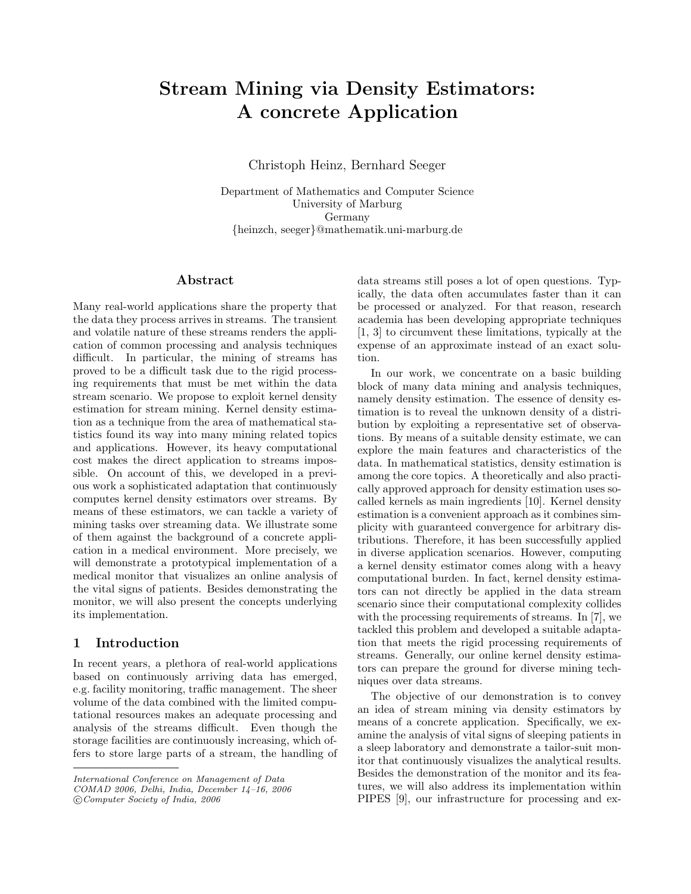# Stream Mining via Density Estimators: A concrete Application

Christoph Heinz, Bernhard Seeger

Department of Mathematics and Computer Science University of Marburg Germany {heinzch, seeger}@mathematik.uni-marburg.de

#### Abstract

Many real-world applications share the property that the data they process arrives in streams. The transient and volatile nature of these streams renders the application of common processing and analysis techniques difficult. In particular, the mining of streams has proved to be a difficult task due to the rigid processing requirements that must be met within the data stream scenario. We propose to exploit kernel density estimation for stream mining. Kernel density estimation as a technique from the area of mathematical statistics found its way into many mining related topics and applications. However, its heavy computational cost makes the direct application to streams impossible. On account of this, we developed in a previous work a sophisticated adaptation that continuously computes kernel density estimators over streams. By means of these estimators, we can tackle a variety of mining tasks over streaming data. We illustrate some of them against the background of a concrete application in a medical environment. More precisely, we will demonstrate a prototypical implementation of a medical monitor that visualizes an online analysis of the vital signs of patients. Besides demonstrating the monitor, we will also present the concepts underlying its implementation.

## 1 Introduction

In recent years, a plethora of real-world applications based on continuously arriving data has emerged, e.g. facility monitoring, traffic management. The sheer volume of the data combined with the limited computational resources makes an adequate processing and analysis of the streams difficult. Even though the storage facilities are continuously increasing, which offers to store large parts of a stream, the handling of

c Computer Society of India, 2006

data streams still poses a lot of open questions. Typically, the data often accumulates faster than it can be processed or analyzed. For that reason, research academia has been developing appropriate techniques [1, 3] to circumvent these limitations, typically at the expense of an approximate instead of an exact solution.

In our work, we concentrate on a basic building block of many data mining and analysis techniques, namely density estimation. The essence of density estimation is to reveal the unknown density of a distribution by exploiting a representative set of observations. By means of a suitable density estimate, we can explore the main features and characteristics of the data. In mathematical statistics, density estimation is among the core topics. A theoretically and also practically approved approach for density estimation uses socalled kernels as main ingredients [10]. Kernel density estimation is a convenient approach as it combines simplicity with guaranteed convergence for arbitrary distributions. Therefore, it has been successfully applied in diverse application scenarios. However, computing a kernel density estimator comes along with a heavy computational burden. In fact, kernel density estimators can not directly be applied in the data stream scenario since their computational complexity collides with the processing requirements of streams. In [7], we tackled this problem and developed a suitable adaptation that meets the rigid processing requirements of streams. Generally, our online kernel density estimators can prepare the ground for diverse mining techniques over data streams.

The objective of our demonstration is to convey an idea of stream mining via density estimators by means of a concrete application. Specifically, we examine the analysis of vital signs of sleeping patients in a sleep laboratory and demonstrate a tailor-suit monitor that continuously visualizes the analytical results. Besides the demonstration of the monitor and its features, we will also address its implementation within PIPES [9], our infrastructure for processing and ex-

International Conference on Management of Data

COMAD 2006, Delhi, India, December 14–16, 2006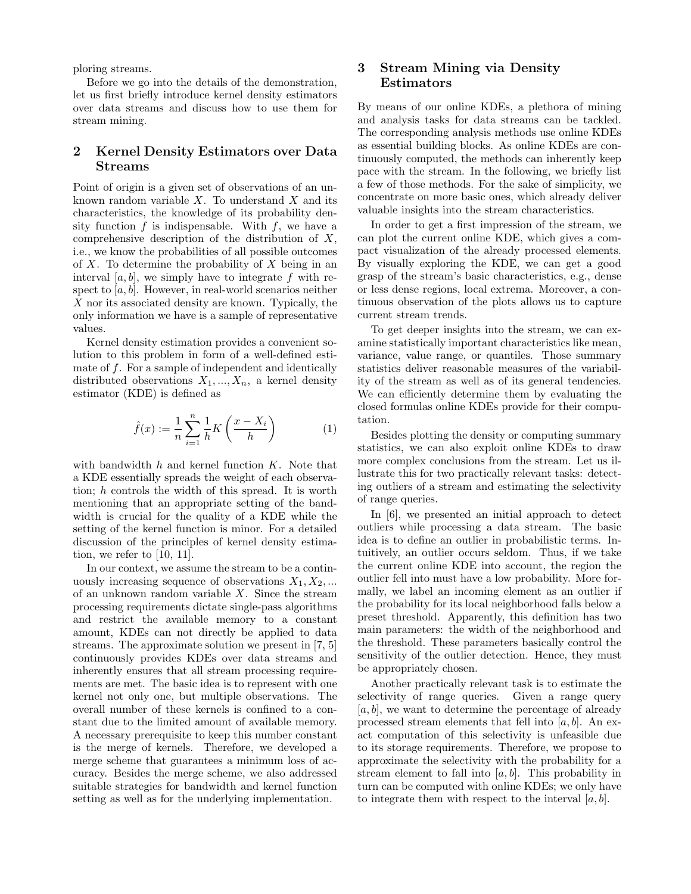ploring streams.

Before we go into the details of the demonstration, let us first briefly introduce kernel density estimators over data streams and discuss how to use them for stream mining.

# 2 Kernel Density Estimators over Data Streams

Point of origin is a given set of observations of an unknown random variable  $X$ . To understand  $X$  and its characteristics, the knowledge of its probability density function  $f$  is indispensable. With  $f$ , we have a comprehensive description of the distribution of  $X$ , i.e., we know the probabilities of all possible outcomes of X. To determine the probability of X being in an interval  $[a, b]$ , we simply have to integrate f with respect to  $[a, b]$ . However, in real-world scenarios neither X nor its associated density are known. Typically, the only information we have is a sample of representative values.

Kernel density estimation provides a convenient solution to this problem in form of a well-defined estimate of f. For a sample of independent and identically distributed observations  $X_1, ..., X_n$ , a kernel density estimator (KDE) is defined as

$$
\hat{f}(x) := \frac{1}{n} \sum_{i=1}^{n} \frac{1}{h} K\left(\frac{x - X_i}{h}\right) \tag{1}
$$

with bandwidth  $h$  and kernel function  $K$ . Note that a KDE essentially spreads the weight of each observation; h controls the width of this spread. It is worth mentioning that an appropriate setting of the bandwidth is crucial for the quality of a KDE while the setting of the kernel function is minor. For a detailed discussion of the principles of kernel density estimation, we refer to [10, 11].

In our context, we assume the stream to be a continuously increasing sequence of observations  $X_1, X_2, \ldots$ of an unknown random variable  $X$ . Since the stream processing requirements dictate single-pass algorithms and restrict the available memory to a constant amount, KDEs can not directly be applied to data streams. The approximate solution we present in [7, 5] continuously provides KDEs over data streams and inherently ensures that all stream processing requirements are met. The basic idea is to represent with one kernel not only one, but multiple observations. The overall number of these kernels is confined to a constant due to the limited amount of available memory. A necessary prerequisite to keep this number constant is the merge of kernels. Therefore, we developed a merge scheme that guarantees a minimum loss of accuracy. Besides the merge scheme, we also addressed suitable strategies for bandwidth and kernel function setting as well as for the underlying implementation.

# 3 Stream Mining via Density Estimators

By means of our online KDEs, a plethora of mining and analysis tasks for data streams can be tackled. The corresponding analysis methods use online KDEs as essential building blocks. As online KDEs are continuously computed, the methods can inherently keep pace with the stream. In the following, we briefly list a few of those methods. For the sake of simplicity, we concentrate on more basic ones, which already deliver valuable insights into the stream characteristics.

In order to get a first impression of the stream, we can plot the current online KDE, which gives a compact visualization of the already processed elements. By visually exploring the KDE, we can get a good grasp of the stream's basic characteristics, e.g., dense or less dense regions, local extrema. Moreover, a continuous observation of the plots allows us to capture current stream trends.

To get deeper insights into the stream, we can examine statistically important characteristics like mean, variance, value range, or quantiles. Those summary statistics deliver reasonable measures of the variability of the stream as well as of its general tendencies. We can efficiently determine them by evaluating the closed formulas online KDEs provide for their computation.

Besides plotting the density or computing summary statistics, we can also exploit online KDEs to draw more complex conclusions from the stream. Let us illustrate this for two practically relevant tasks: detecting outliers of a stream and estimating the selectivity of range queries.

In [6], we presented an initial approach to detect outliers while processing a data stream. The basic idea is to define an outlier in probabilistic terms. Intuitively, an outlier occurs seldom. Thus, if we take the current online KDE into account, the region the outlier fell into must have a low probability. More formally, we label an incoming element as an outlier if the probability for its local neighborhood falls below a preset threshold. Apparently, this definition has two main parameters: the width of the neighborhood and the threshold. These parameters basically control the sensitivity of the outlier detection. Hence, they must be appropriately chosen.

Another practically relevant task is to estimate the selectivity of range queries. Given a range query  $[a, b]$ , we want to determine the percentage of already processed stream elements that fell into  $[a, b]$ . An exact computation of this selectivity is unfeasible due to its storage requirements. Therefore, we propose to approximate the selectivity with the probability for a stream element to fall into  $[a, b]$ . This probability in turn can be computed with online KDEs; we only have to integrate them with respect to the interval  $[a, b]$ .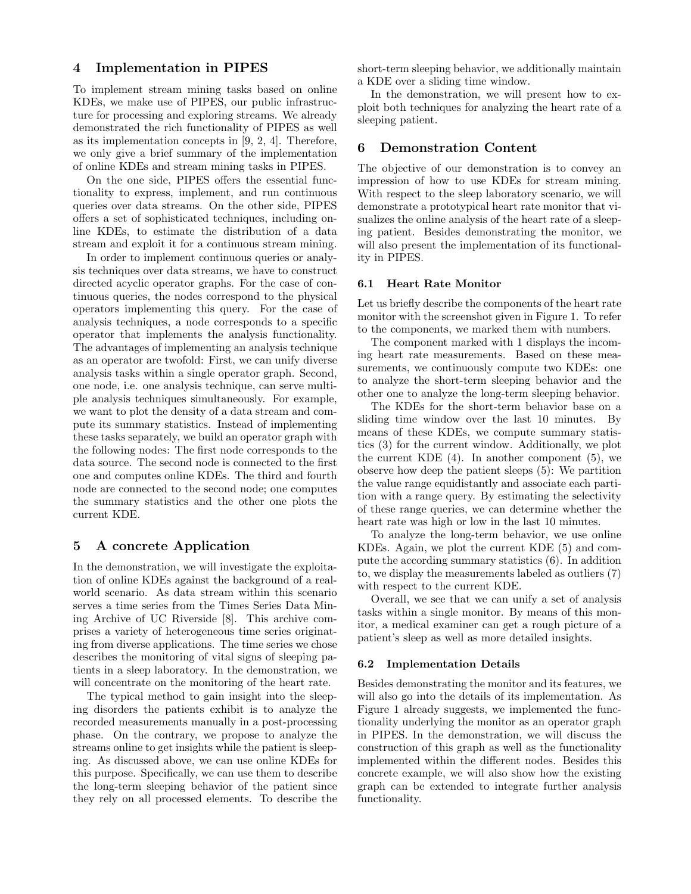### 4 Implementation in PIPES

To implement stream mining tasks based on online KDEs, we make use of PIPES, our public infrastructure for processing and exploring streams. We already demonstrated the rich functionality of PIPES as well as its implementation concepts in [9, 2, 4]. Therefore, we only give a brief summary of the implementation of online KDEs and stream mining tasks in PIPES.

On the one side, PIPES offers the essential functionality to express, implement, and run continuous queries over data streams. On the other side, PIPES offers a set of sophisticated techniques, including online KDEs, to estimate the distribution of a data stream and exploit it for a continuous stream mining.

In order to implement continuous queries or analysis techniques over data streams, we have to construct directed acyclic operator graphs. For the case of continuous queries, the nodes correspond to the physical operators implementing this query. For the case of analysis techniques, a node corresponds to a specific operator that implements the analysis functionality. The advantages of implementing an analysis technique as an operator are twofold: First, we can unify diverse analysis tasks within a single operator graph. Second, one node, i.e. one analysis technique, can serve multiple analysis techniques simultaneously. For example, we want to plot the density of a data stream and compute its summary statistics. Instead of implementing these tasks separately, we build an operator graph with the following nodes: The first node corresponds to the data source. The second node is connected to the first one and computes online KDEs. The third and fourth node are connected to the second node; one computes the summary statistics and the other one plots the current KDE.

## 5 A concrete Application

In the demonstration, we will investigate the exploitation of online KDEs against the background of a realworld scenario. As data stream within this scenario serves a time series from the Times Series Data Mining Archive of UC Riverside [8]. This archive comprises a variety of heterogeneous time series originating from diverse applications. The time series we chose describes the monitoring of vital signs of sleeping patients in a sleep laboratory. In the demonstration, we will concentrate on the monitoring of the heart rate.

The typical method to gain insight into the sleeping disorders the patients exhibit is to analyze the recorded measurements manually in a post-processing phase. On the contrary, we propose to analyze the streams online to get insights while the patient is sleeping. As discussed above, we can use online KDEs for this purpose. Specifically, we can use them to describe the long-term sleeping behavior of the patient since they rely on all processed elements. To describe the

short-term sleeping behavior, we additionally maintain a KDE over a sliding time window.

In the demonstration, we will present how to exploit both techniques for analyzing the heart rate of a sleeping patient.

#### 6 Demonstration Content

The objective of our demonstration is to convey an impression of how to use KDEs for stream mining. With respect to the sleep laboratory scenario, we will demonstrate a prototypical heart rate monitor that visualizes the online analysis of the heart rate of a sleeping patient. Besides demonstrating the monitor, we will also present the implementation of its functionality in PIPES.

#### 6.1 Heart Rate Monitor

Let us briefly describe the components of the heart rate monitor with the screenshot given in Figure 1. To refer to the components, we marked them with numbers.

The component marked with 1 displays the incoming heart rate measurements. Based on these measurements, we continuously compute two KDEs: one to analyze the short-term sleeping behavior and the other one to analyze the long-term sleeping behavior.

The KDEs for the short-term behavior base on a sliding time window over the last 10 minutes. By means of these KDEs, we compute summary statistics (3) for the current window. Additionally, we plot the current KDE  $(4)$ . In another component  $(5)$ , we observe how deep the patient sleeps (5): We partition the value range equidistantly and associate each partition with a range query. By estimating the selectivity of these range queries, we can determine whether the heart rate was high or low in the last 10 minutes.

To analyze the long-term behavior, we use online KDEs. Again, we plot the current KDE (5) and compute the according summary statistics (6). In addition to, we display the measurements labeled as outliers (7) with respect to the current KDE.

Overall, we see that we can unify a set of analysis tasks within a single monitor. By means of this monitor, a medical examiner can get a rough picture of a patient's sleep as well as more detailed insights.

#### 6.2 Implementation Details

Besides demonstrating the monitor and its features, we will also go into the details of its implementation. As Figure 1 already suggests, we implemented the functionality underlying the monitor as an operator graph in PIPES. In the demonstration, we will discuss the construction of this graph as well as the functionality implemented within the different nodes. Besides this concrete example, we will also show how the existing graph can be extended to integrate further analysis functionality.